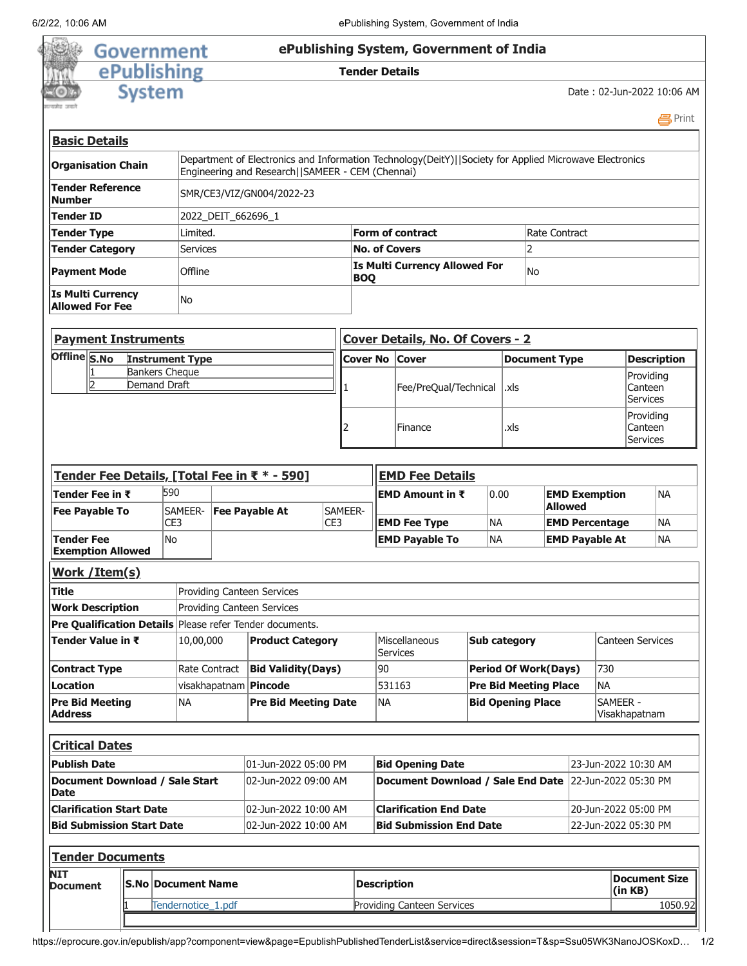ò, 劔



## Government<br>
ePublishing<br>
System

## **Tender Details**

Date : 02-Jun-2022 10:06 AM

**马Print** 

| <b>Basic Details</b>                        |                                                                                                                                                             |                                                    |                |  |  |
|---------------------------------------------|-------------------------------------------------------------------------------------------------------------------------------------------------------------|----------------------------------------------------|----------------|--|--|
| <b>Organisation Chain</b>                   | Department of Electronics and Information Technology(DeitY)  Society for Applied Microwave Electronics<br>Engineering and Research   SAMEER - CEM (Chennai) |                                                    |                |  |  |
| Tender Reference<br><b>Number</b>           | SMR/CE3/VIZ/GN004/2022-23                                                                                                                                   |                                                    |                |  |  |
| Tender ID                                   | 2022 DEIT 662696 1                                                                                                                                          |                                                    |                |  |  |
| Tender Type                                 | Limited.                                                                                                                                                    | Form of contract                                   | Rate Contract  |  |  |
| <b>Tender Category</b>                      | <b>Services</b>                                                                                                                                             | <b>No. of Covers</b>                               |                |  |  |
| <b>Payment Mode</b>                         | Offline                                                                                                                                                     | <b>Is Multi Currency Allowed For</b><br><b>BOQ</b> | N <sub>O</sub> |  |  |
| Is Multi Currency<br><b>Allowed For Fee</b> | No                                                                                                                                                          |                                                    |                |  |  |

|              | <b>Payment Instruments</b>            |                 | Cover Details, No. Of Covers - 2 |               |                                  |
|--------------|---------------------------------------|-----------------|----------------------------------|---------------|----------------------------------|
| Offline S.No | <b>Instrument Type</b>                | Cover No  Cover |                                  | Document Type | <b>Description</b>               |
|              | <b>Bankers Cheque</b><br>Demand Draft |                 | Fee/PreQual/Technical   .xls     |               | Providing<br>Canteen<br>Services |
|              |                                       |                 | Finance                          | .xls          | Providing<br>Canteen<br>Services |

| Tender Fee Details, [Total Fee in ₹ * - 590]  |  |                                                       |                           |                                                                 |                                          |                                        | <b>EMD Fee Details</b>                                             |                                    |                     |                |                       |                         |                      |
|-----------------------------------------------|--|-------------------------------------------------------|---------------------------|-----------------------------------------------------------------|------------------------------------------|----------------------------------------|--------------------------------------------------------------------|------------------------------------|---------------------|----------------|-----------------------|-------------------------|----------------------|
| Tender Fee in ₹                               |  | 590                                                   |                           |                                                                 |                                          |                                        | <b>EMD Amount in <math>\bar{\tau}</math></b>                       |                                    | 0.00                |                | <b>EMD Exemption</b>  |                         | <b>NA</b>            |
| <b>Fee Payable To</b>                         |  |                                                       | SAMEER-                   | <b>Fee Payable At</b>                                           | SAMEER-                                  |                                        |                                                                    |                                    |                     | <b>Allowed</b> |                       |                         |                      |
|                                               |  | CE3                                                   |                           |                                                                 | CE3                                      |                                        | <b>EMD Fee Type</b>                                                |                                    | <b>NA</b>           |                | <b>EMD Percentage</b> |                         | <b>NA</b>            |
| <b>Tender Fee</b>                             |  | <b>No</b>                                             |                           |                                                                 |                                          |                                        | <b>EMD Payable To</b>                                              |                                    | <b>NA</b>           |                | <b>EMD Payable At</b> |                         | <b>NA</b>            |
| <b>Exemption Allowed</b>                      |  |                                                       |                           |                                                                 |                                          |                                        |                                                                    |                                    |                     |                |                       |                         |                      |
| Work / Item(s)                                |  |                                                       |                           |                                                                 |                                          |                                        |                                                                    |                                    |                     |                |                       |                         |                      |
| <b>Title</b>                                  |  |                                                       |                           | <b>Providing Canteen Services</b>                               |                                          |                                        |                                                                    |                                    |                     |                |                       |                         |                      |
| <b>Work Description</b>                       |  |                                                       |                           | <b>Providing Canteen Services</b>                               |                                          |                                        |                                                                    |                                    |                     |                |                       |                         |                      |
|                                               |  |                                                       |                           | <b>Pre Qualification Details</b> Please refer Tender documents. |                                          |                                        |                                                                    |                                    |                     |                |                       |                         |                      |
| Tender Value in ₹                             |  |                                                       | 10,00,000                 | <b>Product Category</b>                                         |                                          |                                        | Miscellaneous<br><b>Services</b>                                   |                                    | <b>Sub category</b> |                |                       | <b>Canteen Services</b> |                      |
| <b>Contract Type</b>                          |  |                                                       | Rate Contract             | <b>Bid Validity(Days)</b>                                       |                                          | 90                                     |                                                                    | 730<br><b>Period Of Work(Days)</b> |                     |                |                       |                         |                      |
| <b>Location</b>                               |  |                                                       |                           | visakhapatnam <b>Pincode</b>                                    |                                          | 531163<br><b>Pre Bid Meeting Place</b> |                                                                    |                                    | <b>NA</b>           |                |                       |                         |                      |
| <b>Pre Bid Meeting</b><br><b>Address</b>      |  |                                                       | <b>NA</b>                 | <b>Pre Bid Meeting Date</b>                                     |                                          |                                        | <b>NA</b><br>SAMFFR -<br><b>Bid Opening Place</b><br>Visakhapatnam |                                    |                     |                |                       |                         |                      |
| <b>Critical Dates</b>                         |  |                                                       |                           |                                                                 |                                          |                                        |                                                                    |                                    |                     |                |                       |                         |                      |
| <b>Publish Date</b>                           |  |                                                       |                           | 01-Jun-2022 05:00 PM                                            |                                          |                                        | <b>Bid Opening Date</b>                                            |                                    |                     |                |                       | 23-Jun-2022 10:30 AM    |                      |
| Document Download / Sale Start<br><b>Date</b> |  | 02-Jun-2022 09:00 AM                                  |                           |                                                                 | <b>Document Download / Sale End Date</b> |                                        | 22-Jun-2022 05:30 PM                                               |                                    |                     |                |                       |                         |                      |
| <b>Clarification Start Date</b>               |  | 02-Jun-2022 10:00 AM<br><b>Clarification End Date</b> |                           |                                                                 |                                          | 20-Jun-2022 05:00 PM                   |                                                                    |                                    |                     |                |                       |                         |                      |
| <b>Bid Submission Start Date</b>              |  |                                                       |                           | 02-Jun-2022 10:00 AM                                            |                                          |                                        | <b>Bid Submission End Date</b>                                     |                                    |                     |                |                       | 22-Jun-2022 05:30 PM    |                      |
| <b>Tender Documents</b>                       |  |                                                       |                           |                                                                 |                                          |                                        |                                                                    |                                    |                     |                |                       |                         |                      |
| <b>NIT</b><br><b>Document</b>                 |  |                                                       | <b>S.No Document Name</b> |                                                                 |                                          |                                        | <b>Description</b>                                                 |                                    |                     |                |                       | (in KB)                 | <b>Document Size</b> |
|                                               |  |                                                       | Tendernotice_1.pdf        |                                                                 |                                          |                                        | <b>Providing Canteen Services</b>                                  |                                    |                     |                |                       |                         | 1050.92              |
|                                               |  |                                                       |                           |                                                                 |                                          |                                        |                                                                    |                                    |                     |                |                       |                         |                      |